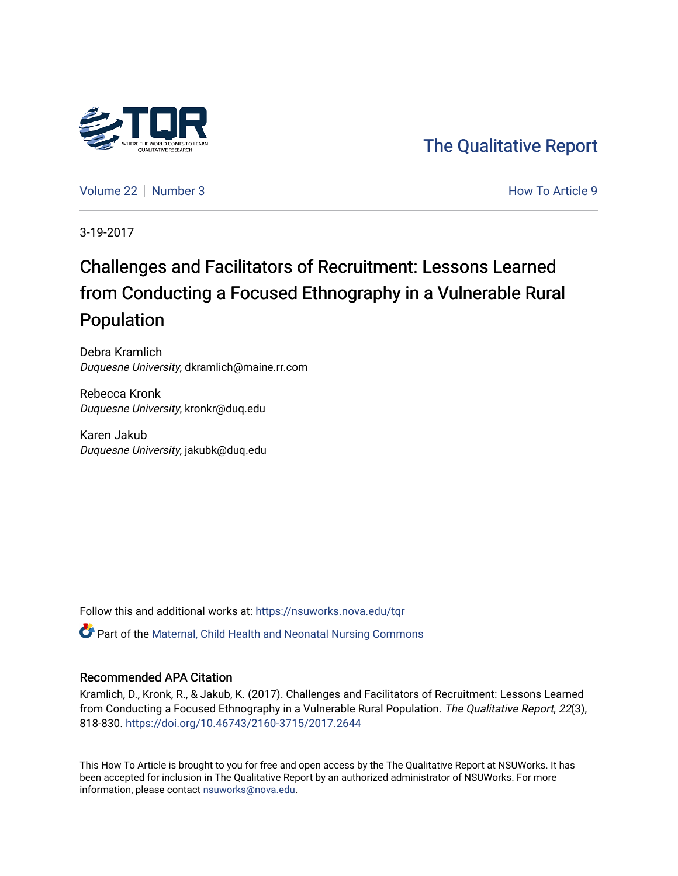

[The Qualitative Report](https://nsuworks.nova.edu/tqr) 

[Volume 22](https://nsuworks.nova.edu/tqr/vol22) [Number 3](https://nsuworks.nova.edu/tqr/vol22/iss3) **How To Article 9** Number 3

3-19-2017

# Challenges and Facilitators of Recruitment: Lessons Learned from Conducting a Focused Ethnography in a Vulnerable Rural Population

Debra Kramlich Duquesne University, dkramlich@maine.rr.com

Rebecca Kronk Duquesne University, kronkr@duq.edu

Karen Jakub Duquesne University, jakubk@duq.edu

Follow this and additional works at: [https://nsuworks.nova.edu/tqr](https://nsuworks.nova.edu/tqr?utm_source=nsuworks.nova.edu%2Ftqr%2Fvol22%2Fiss3%2F9&utm_medium=PDF&utm_campaign=PDFCoverPages) 

Part of the [Maternal, Child Health and Neonatal Nursing Commons](http://network.bepress.com/hgg/discipline/721?utm_source=nsuworks.nova.edu%2Ftqr%2Fvol22%2Fiss3%2F9&utm_medium=PDF&utm_campaign=PDFCoverPages) 

#### Recommended APA Citation

Kramlich, D., Kronk, R., & Jakub, K. (2017). Challenges and Facilitators of Recruitment: Lessons Learned from Conducting a Focused Ethnography in a Vulnerable Rural Population. The Qualitative Report, 22(3), 818-830. <https://doi.org/10.46743/2160-3715/2017.2644>

This How To Article is brought to you for free and open access by the The Qualitative Report at NSUWorks. It has been accepted for inclusion in The Qualitative Report by an authorized administrator of NSUWorks. For more information, please contact [nsuworks@nova.edu.](mailto:nsuworks@nova.edu)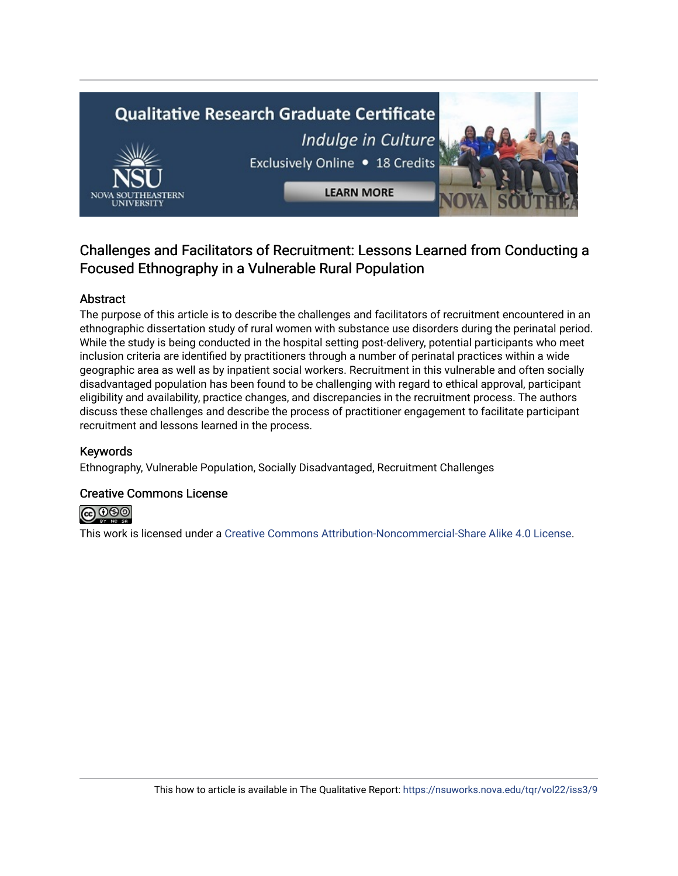# **Qualitative Research Graduate Certificate** Indulge in Culture Exclusively Online . 18 Credits **LEARN MORE**

# Challenges and Facilitators of Recruitment: Lessons Learned from Conducting a Focused Ethnography in a Vulnerable Rural Population

# Abstract

The purpose of this article is to describe the challenges and facilitators of recruitment encountered in an ethnographic dissertation study of rural women with substance use disorders during the perinatal period. While the study is being conducted in the hospital setting post-delivery, potential participants who meet inclusion criteria are identified by practitioners through a number of perinatal practices within a wide geographic area as well as by inpatient social workers. Recruitment in this vulnerable and often socially disadvantaged population has been found to be challenging with regard to ethical approval, participant eligibility and availability, practice changes, and discrepancies in the recruitment process. The authors discuss these challenges and describe the process of practitioner engagement to facilitate participant recruitment and lessons learned in the process.

# Keywords

Ethnography, Vulnerable Population, Socially Disadvantaged, Recruitment Challenges

### Creative Commons License



This work is licensed under a [Creative Commons Attribution-Noncommercial-Share Alike 4.0 License](https://creativecommons.org/licenses/by-nc-sa/4.0/).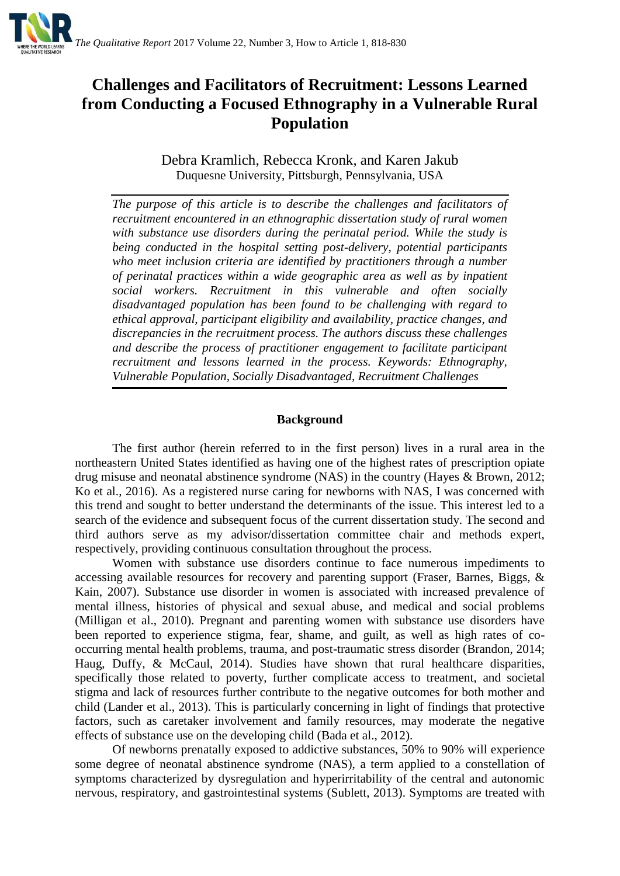

# **Challenges and Facilitators of Recruitment: Lessons Learned from Conducting a Focused Ethnography in a Vulnerable Rural Population**

Debra Kramlich, Rebecca Kronk, and Karen Jakub Duquesne University, Pittsburgh, Pennsylvania, USA

*The purpose of this article is to describe the challenges and facilitators of recruitment encountered in an ethnographic dissertation study of rural women with substance use disorders during the perinatal period. While the study is being conducted in the hospital setting post-delivery, potential participants who meet inclusion criteria are identified by practitioners through a number of perinatal practices within a wide geographic area as well as by inpatient social workers. Recruitment in this vulnerable and often socially disadvantaged population has been found to be challenging with regard to ethical approval, participant eligibility and availability, practice changes, and discrepancies in the recruitment process. The authors discuss these challenges and describe the process of practitioner engagement to facilitate participant recruitment and lessons learned in the process. Keywords: Ethnography, Vulnerable Population, Socially Disadvantaged, Recruitment Challenges*

## **Background**

The first author (herein referred to in the first person) lives in a rural area in the northeastern United States identified as having one of the highest rates of prescription opiate drug misuse and neonatal abstinence syndrome (NAS) in the country (Hayes & Brown, 2012; Ko et al., 2016). As a registered nurse caring for newborns with NAS, I was concerned with this trend and sought to better understand the determinants of the issue. This interest led to a search of the evidence and subsequent focus of the current dissertation study. The second and third authors serve as my advisor/dissertation committee chair and methods expert, respectively, providing continuous consultation throughout the process.

Women with substance use disorders continue to face numerous impediments to accessing available resources for recovery and parenting support (Fraser, Barnes, Biggs, & Kain, 2007). Substance use disorder in women is associated with increased prevalence of mental illness, histories of physical and sexual abuse, and medical and social problems [\(Milligan et al., 2010\)](#page-12-0). Pregnant and parenting women with substance use disorders have been reported to experience stigma, fear, shame, and guilt, as well as high rates of cooccurring mental health problems, trauma, and post-traumatic stress disorder (Brandon, 2014; [Haug, Duffy, & McCaul, 2014\)](#page-11-0). Studies have shown that rural healthcare disparities, specifically those related to poverty, further complicate access to treatment, and societal stigma and lack of resources further contribute to the negative outcomes for both mother and child (Lander et al., 2013). This is particularly concerning in light of findings that protective factors, such as caretaker involvement and family resources, may moderate the negative effects of substance use on the developing child (Bada et al., 2012).

Of newborns prenatally exposed to addictive substances, 50% to 90% will experience some degree of neonatal abstinence syndrome (NAS), a term applied to a constellation of symptoms characterized by dysregulation and hyperirritability of the central and autonomic nervous, respiratory, and gastrointestinal systems [\(Sublett, 2013\)](#page-13-0). Symptoms are treated with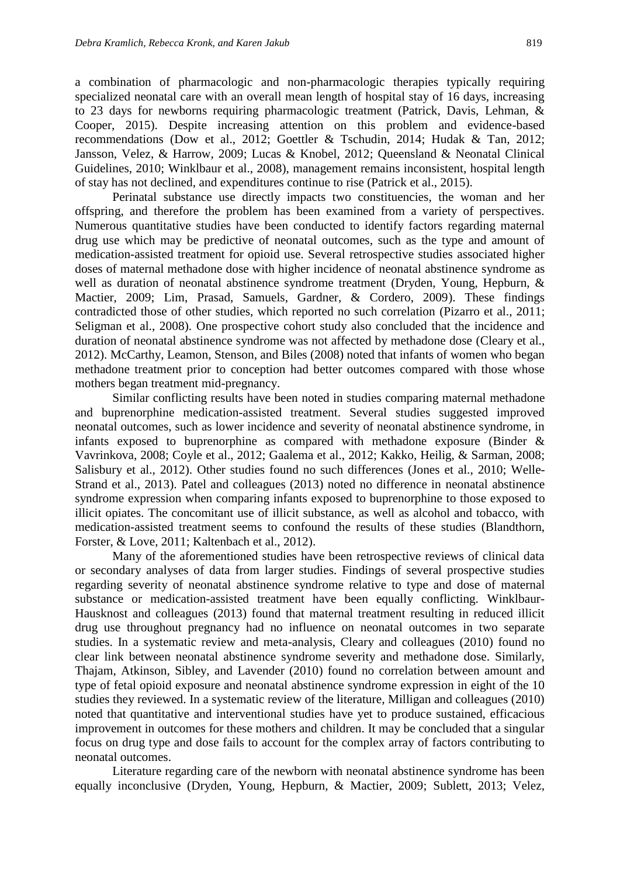a combination of pharmacologic and non-pharmacologic therapies typically requiring specialized neonatal care with an overall mean length of hospital stay of 16 days, increasing to 23 days for newborns requiring pharmacologic treatment (Patrick, Davis, Lehman, & Cooper, 2015). Despite increasing attention on this problem and evidence-based recommendations (Dow et al., 2012; [Goettler & Tschudin, 2014;](#page-11-1) [Hudak & Tan, 2012;](#page-11-2) [Jansson, Velez, & Harrow, 2009;](#page-11-3) [Lucas & Knobel, 2012;](#page-12-1) [Queensland & Neonatal Clinical](#page-13-1)  [Guidelines, 2010;](#page-13-1) [Winklbaur et al., 2008\)](#page-14-0), management remains inconsistent, hospital length of stay has not declined, and expenditures continue to rise (Patrick et al., 2015).

Perinatal substance use directly impacts two constituencies, the woman and her offspring, and therefore the problem has been examined from a variety of perspectives. Numerous quantitative studies have been conducted to identify factors regarding maternal drug use which may be predictive of neonatal outcomes, such as the type and amount of medication-assisted treatment for opioid use. Several retrospective studies associated higher doses of maternal methadone dose with higher incidence of neonatal abstinence syndrome as well as duration of neonatal abstinence syndrome treatment [\(Dryden, Young, Hepburn, &](#page-11-4)  [Mactier, 2009;](#page-11-4) [Lim, Prasad, Samuels, Gardner, & Cordero, 2009\)](#page-12-2). These findings contradicted those of other studies, which reported no such correlation [\(Pizarro et al., 2011;](#page-13-2) [Seligman et al., 2008\)](#page-13-3). One prospective cohort study also concluded that the incidence and duration of neonatal abstinence syndrome was not affected by methadone dose [\(Cleary et al.,](#page-11-5)  [2012\)](#page-11-5). [McCarthy, Leamon, Stenson, and Biles \(2008\)](#page-12-3) noted that infants of women who began methadone treatment prior to conception had better outcomes compared with those whose mothers began treatment mid-pregnancy.

Similar conflicting results have been noted in studies comparing maternal methadone and buprenorphine medication-assisted treatment. Several studies suggested improved neonatal outcomes, such as lower incidence and severity of neonatal abstinence syndrome, in infants exposed to buprenorphine as compared with methadone exposure (Binder & Vavrinkova, 2008; [Coyle et al., 2012;](#page-11-6) [Gaalema et al., 2012;](#page-11-1) [Kakko, Heilig, & Sarman, 2008;](#page-11-7) [Salisbury et al., 2012\)](#page-13-4). Other studies found no such differences [\(Jones et al., 2010;](#page-11-8) [Welle-](#page-14-1)[Strand et al., 2013\)](#page-14-1). [Patel and colleagues \(2013\)](#page-12-4) noted no difference in neonatal abstinence syndrome expression when comparing infants exposed to buprenorphine to those exposed to illicit opiates. The concomitant use of illicit substance, as well as alcohol and tobacco, with medication-assisted treatment seems to confound the results of these studies (Blandthorn, Forster, & Love, 2011; [Kaltenbach et al., 2012\)](#page-12-5).

Many of the aforementioned studies have been retrospective reviews of clinical data or secondary analyses of data from larger studies. Findings of several prospective studies regarding severity of neonatal abstinence syndrome relative to type and dose of maternal substance or medication-assisted treatment have been equally conflicting. [Winklbaur-](#page-13-5)[Hausknost and colleagues \(2013\)](#page-13-5) found that maternal treatment resulting in reduced illicit drug use throughout pregnancy had no influence on neonatal outcomes in two separate studies. In a systematic review and meta-analysis, Cleary and colleagues (2010) found no clear link between neonatal abstinence syndrome severity and methadone dose. Similarly, [Thajam, Atkinson, Sibley, and Lavender \(2010\)](#page-13-6) found no correlation between amount and type of fetal opioid exposure and neonatal abstinence syndrome expression in eight of the 10 studies they reviewed. In a systematic review of the literature, Milligan and colleagues (2010) noted that quantitative and interventional studies have yet to produce sustained, efficacious improvement in outcomes for these mothers and children. It may be concluded that a singular focus on drug type and dose fails to account for the complex array of factors contributing to neonatal outcomes.

Literature regarding care of the newborn with neonatal abstinence syndrome has been equally inconclusive [\(Dryden, Young, Hepburn, & Mactier, 2009;](#page-11-4) [Sublett, 2013;](#page-13-0) [Velez,](#page-14-0)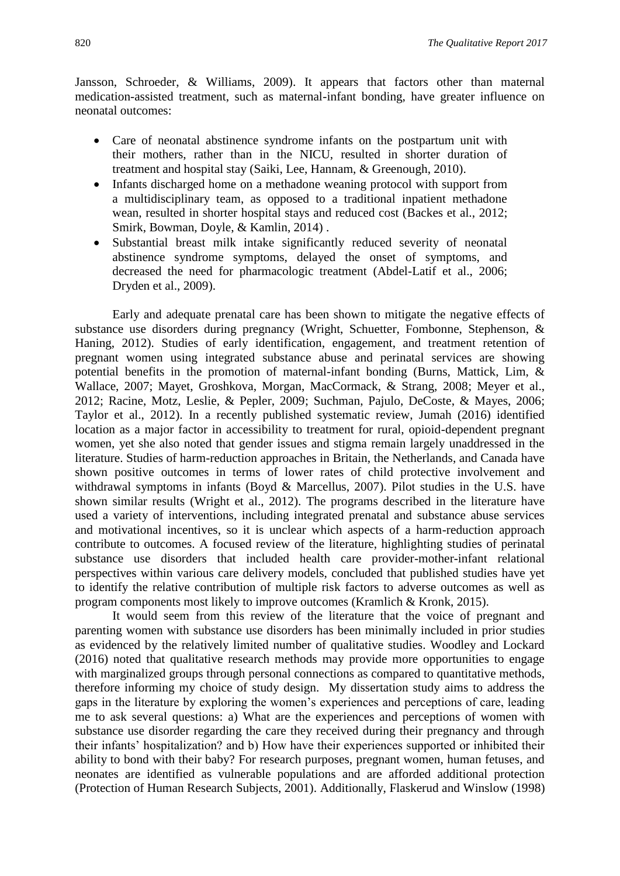[Jansson, Schroeder, & Williams, 2009\)](#page-14-0). It appears that factors other than maternal medication-assisted treatment, such as maternal-infant bonding, have greater influence on neonatal outcomes:

- Care of neonatal abstinence syndrome infants on the postpartum unit with their mothers, rather than in the NICU, resulted in shorter duration of treatment and hospital stay [\(Saiki, Lee, Hannam, & Greenough, 2010\)](#page-13-7).
- Infants discharged home on a methadone weaning protocol with support from a multidisciplinary team, as opposed to a traditional inpatient methadone wean, resulted in shorter hospital stays and reduced cost [\(Backes et al., 2012;](#page-10-0) [Smirk, Bowman, Doyle, & Kamlin, 2014\)](#page-13-5) .
- Substantial breast milk intake significantly reduced severity of neonatal abstinence syndrome symptoms, delayed the onset of symptoms, and decreased the need for pharmacologic treatment [\(Abdel-Latif et al., 2006;](#page-10-0) [Dryden et al., 2009\)](#page-11-4).

Early and adequate prenatal care has been shown to mitigate the negative effects of substance use disorders during pregnancy [\(Wright, Schuetter, Fombonne, Stephenson, &](#page-14-2)  [Haning, 2012\)](#page-14-2). Studies of early identification, engagement, and treatment retention of pregnant women using integrated substance abuse and perinatal services are showing potential benefits in the promotion of maternal-infant bonding [\(Burns, Mattick, Lim, &](#page-10-1)  [Wallace, 2007;](#page-10-1) [Mayet, Groshkova, Morgan, MacCormack, & Strang, 2008;](#page-12-6) [Meyer et al.,](#page-12-7)  [2012;](#page-12-7) [Racine, Motz, Leslie, & Pepler, 2009;](#page-13-8) [Suchman, Pajulo, DeCoste, & Mayes, 2006;](#page-13-9) [Taylor et al., 2012\)](#page-13-10). In a recently published systematic review, Jumah (2016) identified location as a major factor in accessibility to treatment for rural, opioid-dependent pregnant women, yet she also noted that gender issues and stigma remain largely unaddressed in the literature. Studies of harm-reduction approaches in Britain, the Netherlands, and Canada have shown positive outcomes in terms of lower rates of child protective involvement and withdrawal symptoms in infants [\(Boyd & Marcellus, 2007\)](#page-10-2). Pilot studies in the U.S. have shown similar results [\(Wright et al., 2012\)](#page-14-2). The programs described in the literature have used a variety of interventions, including integrated prenatal and substance abuse services and motivational incentives, so it is unclear which aspects of a harm-reduction approach contribute to outcomes. A focused review of the literature, highlighting studies of perinatal substance use disorders that included health care provider-mother-infant relational perspectives within various care delivery models, concluded that published studies have yet to identify the relative contribution of multiple risk factors to adverse outcomes as well as program components most likely to improve outcomes (Kramlich & Kronk, 2015).

It would seem from this review of the literature that the voice of pregnant and parenting women with substance use disorders has been minimally included in prior studies as evidenced by the relatively limited number of qualitative studies. Woodley and Lockard (2016) noted that qualitative research methods may provide more opportunities to engage with marginalized groups through personal connections as compared to quantitative methods, therefore informing my choice of study design. My dissertation study aims to address the gaps in the literature by exploring the women's experiences and perceptions of care, leading me to ask several questions: a) What are the experiences and perceptions of women with substance use disorder regarding the care they received during their pregnancy and through their infants' hospitalization? and b) How have their experiences supported or inhibited their ability to bond with their baby? For research purposes, pregnant women, human fetuses, and neonates are identified as vulnerable populations and are afforded additional protection (Protection of Human Research Subjects, 2001). Additionally, Flaskerud and Winslow (1998)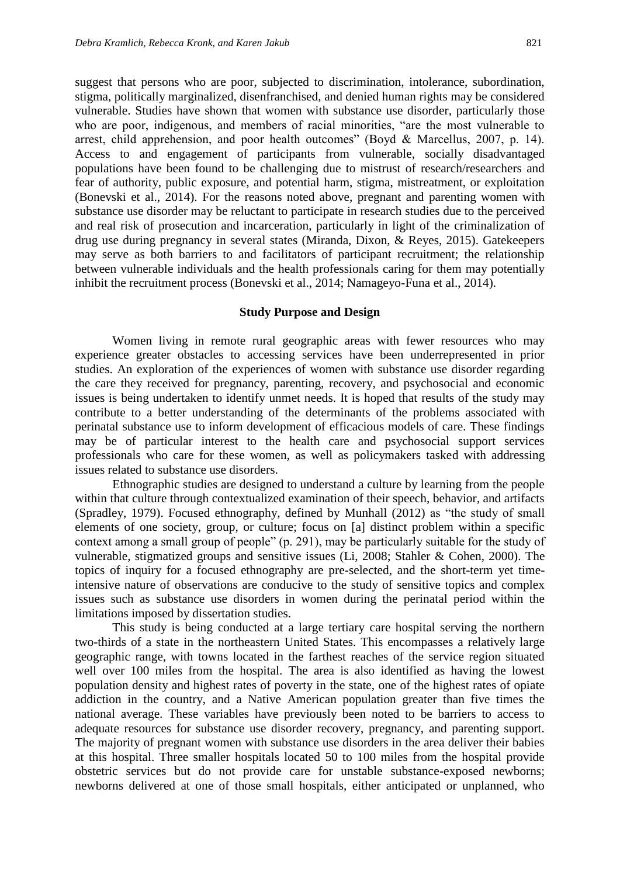suggest that persons who are poor, subjected to discrimination, intolerance, subordination, stigma, politically marginalized, disenfranchised, and denied human rights may be considered vulnerable. Studies have shown that women with substance use disorder, particularly those who are poor, indigenous, and members of racial minorities, "are the most vulnerable to arrest, child apprehension, and poor health outcomes" (Boyd & Marcellus, 2007, p. 14). Access to and engagement of participants from vulnerable, socially disadvantaged populations have been found to be challenging due to mistrust of research/researchers and fear of authority, public exposure, and potential harm, stigma, mistreatment, or exploitation (Bonevski et al., 2014). For the reasons noted above, pregnant and parenting women with substance use disorder may be reluctant to participate in research studies due to the perceived and real risk of prosecution and incarceration, particularly in light of the criminalization of drug use during pregnancy in several states (Miranda, Dixon, & Reyes, 2015). Gatekeepers may serve as both barriers to and facilitators of participant recruitment; the relationship between vulnerable individuals and the health professionals caring for them may potentially inhibit the recruitment process (Bonevski et al., 2014; Namageyo-Funa et al., 2014).

#### **Study Purpose and Design**

Women living in remote rural geographic areas with fewer resources who may experience greater obstacles to accessing services have been underrepresented in prior studies. An exploration of the experiences of women with substance use disorder regarding the care they received for pregnancy, parenting, recovery, and psychosocial and economic issues is being undertaken to identify unmet needs. It is hoped that results of the study may contribute to a better understanding of the determinants of the problems associated with perinatal substance use to inform development of efficacious models of care. These findings may be of particular interest to the health care and psychosocial support services professionals who care for these women, as well as policymakers tasked with addressing issues related to substance use disorders.

Ethnographic studies are designed to understand a culture by learning from the people within that culture through contextualized examination of their speech, behavior, and artifacts [\(Spradley, 1979\)](#page-11-0). Focused ethnography, defined by [Munhall \(2012\)](#page-12-0) as "the study of small elements of one society, group, or culture; focus on [a] distinct problem within a specific context among a small group of people" (p. 291), may be particularly suitable for the study of vulnerable, stigmatized groups and sensitive issues (Li, 2008; Stahler & Cohen, 2000). The topics of inquiry for a focused ethnography are pre-selected, and the short-term yet timeintensive nature of observations are conducive to the study of sensitive topics and complex issues such as substance use disorders in women during the perinatal period within the limitations imposed by dissertation studies.

This study is being conducted at a large tertiary care hospital serving the northern two-thirds of a state in the northeastern United States. This encompasses a relatively large geographic range, with towns located in the farthest reaches of the service region situated well over 100 miles from the hospital. The area is also identified as having the lowest population density and highest rates of poverty in the state, one of the highest rates of opiate addiction in the country, and a Native American population greater than five times the national average. These variables have previously been noted to be barriers to access to adequate resources for substance use disorder recovery, pregnancy, and parenting support. The majority of pregnant women with substance use disorders in the area deliver their babies at this hospital. Three smaller hospitals located 50 to 100 miles from the hospital provide obstetric services but do not provide care for unstable substance-exposed newborns; newborns delivered at one of those small hospitals, either anticipated or unplanned, who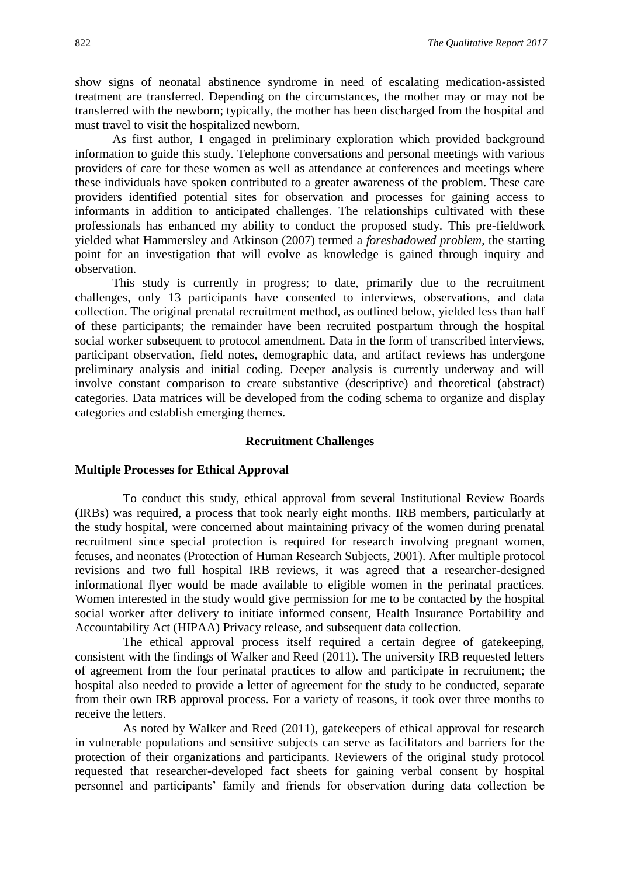show signs of neonatal abstinence syndrome in need of escalating medication-assisted treatment are transferred. Depending on the circumstances, the mother may or may not be transferred with the newborn; typically, the mother has been discharged from the hospital and must travel to visit the hospitalized newborn.

As first author, I engaged in preliminary exploration which provided background information to guide this study. Telephone conversations and personal meetings with various providers of care for these women as well as attendance at conferences and meetings where these individuals have spoken contributed to a greater awareness of the problem. These care providers identified potential sites for observation and processes for gaining access to informants in addition to anticipated challenges. The relationships cultivated with these professionals has enhanced my ability to conduct the proposed study. This pre-fieldwork yielded what Hammersley and Atkinson (2007) termed a *foreshadowed problem*, the starting point for an investigation that will evolve as knowledge is gained through inquiry and observation.

This study is currently in progress; to date, primarily due to the recruitment challenges, only 13 participants have consented to interviews, observations, and data collection. The original prenatal recruitment method, as outlined below, yielded less than half of these participants; the remainder have been recruited postpartum through the hospital social worker subsequent to protocol amendment. Data in the form of transcribed interviews, participant observation, field notes, demographic data, and artifact reviews has undergone preliminary analysis and initial coding. Deeper analysis is currently underway and will involve constant comparison to create substantive (descriptive) and theoretical (abstract) categories. Data matrices will be developed from the coding schema to organize and display categories and establish emerging themes.

#### **Recruitment Challenges**

#### **Multiple Processes for Ethical Approval**

To conduct this study, ethical approval from several Institutional Review Boards (IRBs) was required, a process that took nearly eight months. IRB members, particularly at the study hospital, were concerned about maintaining privacy of the women during prenatal recruitment since special protection is required for research involving pregnant women, fetuses, and neonates (Protection of Human Research Subjects, 2001). After multiple protocol revisions and two full hospital IRB reviews, it was agreed that a researcher-designed informational flyer would be made available to eligible women in the perinatal practices. Women interested in the study would give permission for me to be contacted by the hospital social worker after delivery to initiate informed consent, Health Insurance Portability and Accountability Act (HIPAA) Privacy release, and subsequent data collection.

The ethical approval process itself required a certain degree of gatekeeping, consistent with the findings of Walker and Reed (2011). The university IRB requested letters of agreement from the four perinatal practices to allow and participate in recruitment; the hospital also needed to provide a letter of agreement for the study to be conducted, separate from their own IRB approval process. For a variety of reasons, it took over three months to receive the letters.

As noted by Walker and Reed (2011), gatekeepers of ethical approval for research in vulnerable populations and sensitive subjects can serve as facilitators and barriers for the protection of their organizations and participants. Reviewers of the original study protocol requested that researcher-developed fact sheets for gaining verbal consent by hospital personnel and participants' family and friends for observation during data collection be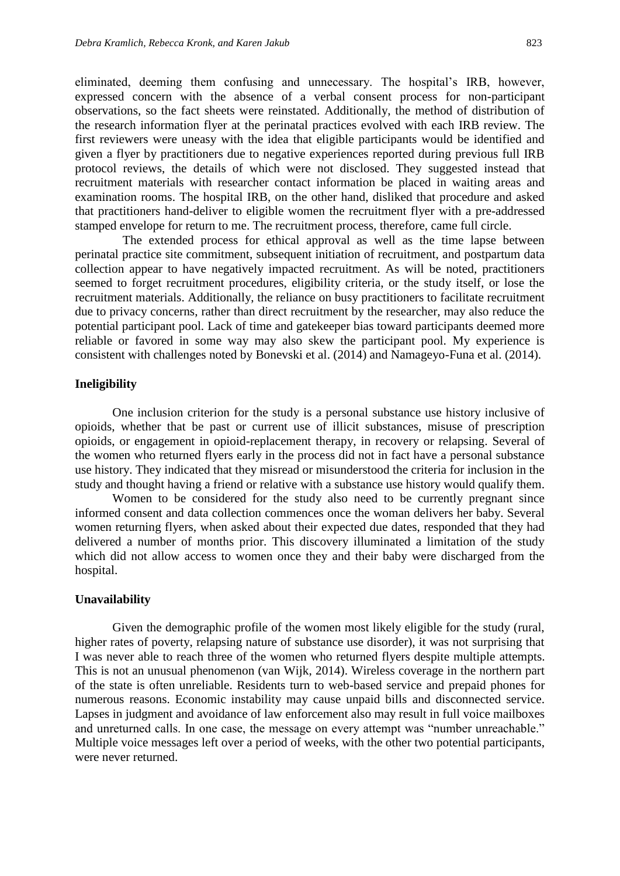eliminated, deeming them confusing and unnecessary. The hospital's IRB, however, expressed concern with the absence of a verbal consent process for non-participant observations, so the fact sheets were reinstated. Additionally, the method of distribution of the research information flyer at the perinatal practices evolved with each IRB review. The first reviewers were uneasy with the idea that eligible participants would be identified and given a flyer by practitioners due to negative experiences reported during previous full IRB protocol reviews, the details of which were not disclosed. They suggested instead that recruitment materials with researcher contact information be placed in waiting areas and examination rooms. The hospital IRB, on the other hand, disliked that procedure and asked that practitioners hand-deliver to eligible women the recruitment flyer with a pre-addressed stamped envelope for return to me. The recruitment process, therefore, came full circle.

The extended process for ethical approval as well as the time lapse between perinatal practice site commitment, subsequent initiation of recruitment, and postpartum data collection appear to have negatively impacted recruitment. As will be noted, practitioners seemed to forget recruitment procedures, eligibility criteria, or the study itself, or lose the recruitment materials. Additionally, the reliance on busy practitioners to facilitate recruitment due to privacy concerns, rather than direct recruitment by the researcher, may also reduce the potential participant pool. Lack of time and gatekeeper bias toward participants deemed more reliable or favored in some way may also skew the participant pool. My experience is consistent with challenges noted by Bonevski et al. (2014) and Namageyo-Funa et al. (2014).

#### **Ineligibility**

One inclusion criterion for the study is a personal substance use history inclusive of opioids, whether that be past or current use of illicit substances, misuse of prescription opioids, or engagement in opioid-replacement therapy, in recovery or relapsing. Several of the women who returned flyers early in the process did not in fact have a personal substance use history. They indicated that they misread or misunderstood the criteria for inclusion in the study and thought having a friend or relative with a substance use history would qualify them.

Women to be considered for the study also need to be currently pregnant since informed consent and data collection commences once the woman delivers her baby. Several women returning flyers, when asked about their expected due dates, responded that they had delivered a number of months prior. This discovery illuminated a limitation of the study which did not allow access to women once they and their baby were discharged from the hospital.

#### **Unavailability**

Given the demographic profile of the women most likely eligible for the study (rural, higher rates of poverty, relapsing nature of substance use disorder), it was not surprising that I was never able to reach three of the women who returned flyers despite multiple attempts. This is not an unusual phenomenon (van Wijk, 2014). Wireless coverage in the northern part of the state is often unreliable. Residents turn to web-based service and prepaid phones for numerous reasons. Economic instability may cause unpaid bills and disconnected service. Lapses in judgment and avoidance of law enforcement also may result in full voice mailboxes and unreturned calls. In one case, the message on every attempt was "number unreachable." Multiple voice messages left over a period of weeks, with the other two potential participants, were never returned.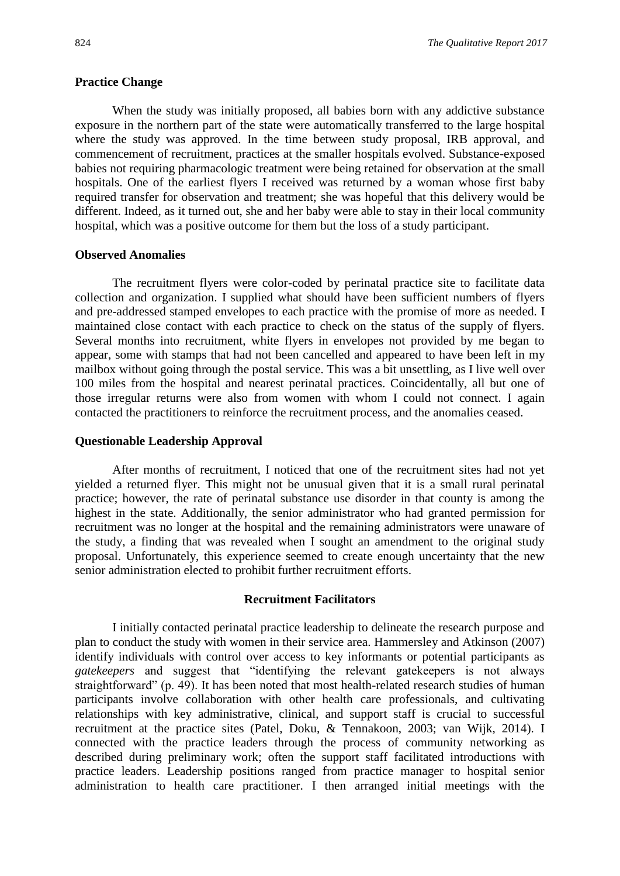#### **Practice Change**

When the study was initially proposed, all babies born with any addictive substance exposure in the northern part of the state were automatically transferred to the large hospital where the study was approved. In the time between study proposal, IRB approval, and commencement of recruitment, practices at the smaller hospitals evolved. Substance-exposed babies not requiring pharmacologic treatment were being retained for observation at the small hospitals. One of the earliest flyers I received was returned by a woman whose first baby required transfer for observation and treatment; she was hopeful that this delivery would be different. Indeed, as it turned out, she and her baby were able to stay in their local community hospital, which was a positive outcome for them but the loss of a study participant.

#### **Observed Anomalies**

The recruitment flyers were color-coded by perinatal practice site to facilitate data collection and organization. I supplied what should have been sufficient numbers of flyers and pre-addressed stamped envelopes to each practice with the promise of more as needed. I maintained close contact with each practice to check on the status of the supply of flyers. Several months into recruitment, white flyers in envelopes not provided by me began to appear, some with stamps that had not been cancelled and appeared to have been left in my mailbox without going through the postal service. This was a bit unsettling, as I live well over 100 miles from the hospital and nearest perinatal practices. Coincidentally, all but one of those irregular returns were also from women with whom I could not connect. I again contacted the practitioners to reinforce the recruitment process, and the anomalies ceased.

#### **Questionable Leadership Approval**

After months of recruitment, I noticed that one of the recruitment sites had not yet yielded a returned flyer. This might not be unusual given that it is a small rural perinatal practice; however, the rate of perinatal substance use disorder in that county is among the highest in the state. Additionally, the senior administrator who had granted permission for recruitment was no longer at the hospital and the remaining administrators were unaware of the study, a finding that was revealed when I sought an amendment to the original study proposal. Unfortunately, this experience seemed to create enough uncertainty that the new senior administration elected to prohibit further recruitment efforts.

#### **Recruitment Facilitators**

I initially contacted perinatal practice leadership to delineate the research purpose and plan to conduct the study with women in their service area. Hammersley and Atkinson (2007) identify individuals with control over access to key informants or potential participants as *gatekeepers* and suggest that "identifying the relevant gatekeepers is not always straightforward" (p. 49). It has been noted that most health-related research studies of human participants involve collaboration with other health care professionals, and cultivating relationships with key administrative, clinical, and support staff is crucial to successful recruitment at the practice sites (Patel, Doku, & Tennakoon, 2003; van Wijk, 2014). I connected with the practice leaders through the process of community networking as described during preliminary work; often the support staff facilitated introductions with practice leaders. Leadership positions ranged from practice manager to hospital senior administration to health care practitioner. I then arranged initial meetings with the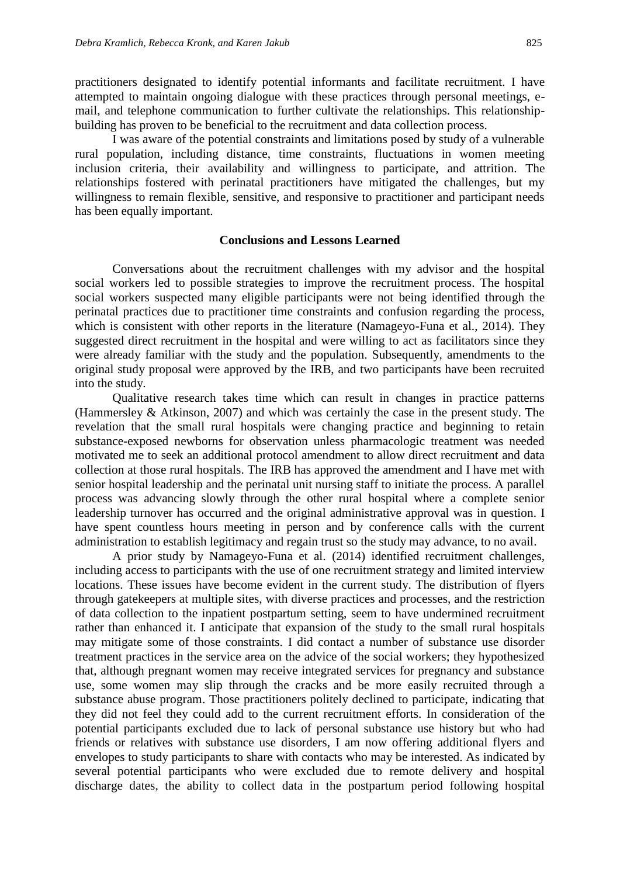practitioners designated to identify potential informants and facilitate recruitment. I have attempted to maintain ongoing dialogue with these practices through personal meetings, email, and telephone communication to further cultivate the relationships. This relationshipbuilding has proven to be beneficial to the recruitment and data collection process.

I was aware of the potential constraints and limitations posed by study of a vulnerable rural population, including distance, time constraints, fluctuations in women meeting inclusion criteria, their availability and willingness to participate, and attrition. The relationships fostered with perinatal practitioners have mitigated the challenges, but my willingness to remain flexible, sensitive, and responsive to practitioner and participant needs has been equally important.

#### **Conclusions and Lessons Learned**

Conversations about the recruitment challenges with my advisor and the hospital social workers led to possible strategies to improve the recruitment process. The hospital social workers suspected many eligible participants were not being identified through the perinatal practices due to practitioner time constraints and confusion regarding the process, which is consistent with other reports in the literature (Namageyo-Funa et al., 2014). They suggested direct recruitment in the hospital and were willing to act as facilitators since they were already familiar with the study and the population. Subsequently, amendments to the original study proposal were approved by the IRB, and two participants have been recruited into the study.

Qualitative research takes time which can result in changes in practice patterns (Hammersley & Atkinson, 2007) and which was certainly the case in the present study. The revelation that the small rural hospitals were changing practice and beginning to retain substance-exposed newborns for observation unless pharmacologic treatment was needed motivated me to seek an additional protocol amendment to allow direct recruitment and data collection at those rural hospitals. The IRB has approved the amendment and I have met with senior hospital leadership and the perinatal unit nursing staff to initiate the process. A parallel process was advancing slowly through the other rural hospital where a complete senior leadership turnover has occurred and the original administrative approval was in question. I have spent countless hours meeting in person and by conference calls with the current administration to establish legitimacy and regain trust so the study may advance, to no avail.

A prior study by Namageyo-Funa et al. (2014) identified recruitment challenges, including access to participants with the use of one recruitment strategy and limited interview locations. These issues have become evident in the current study. The distribution of flyers through gatekeepers at multiple sites, with diverse practices and processes, and the restriction of data collection to the inpatient postpartum setting, seem to have undermined recruitment rather than enhanced it. I anticipate that expansion of the study to the small rural hospitals may mitigate some of those constraints. I did contact a number of substance use disorder treatment practices in the service area on the advice of the social workers; they hypothesized that, although pregnant women may receive integrated services for pregnancy and substance use, some women may slip through the cracks and be more easily recruited through a substance abuse program. Those practitioners politely declined to participate, indicating that they did not feel they could add to the current recruitment efforts. In consideration of the potential participants excluded due to lack of personal substance use history but who had friends or relatives with substance use disorders, I am now offering additional flyers and envelopes to study participants to share with contacts who may be interested. As indicated by several potential participants who were excluded due to remote delivery and hospital discharge dates, the ability to collect data in the postpartum period following hospital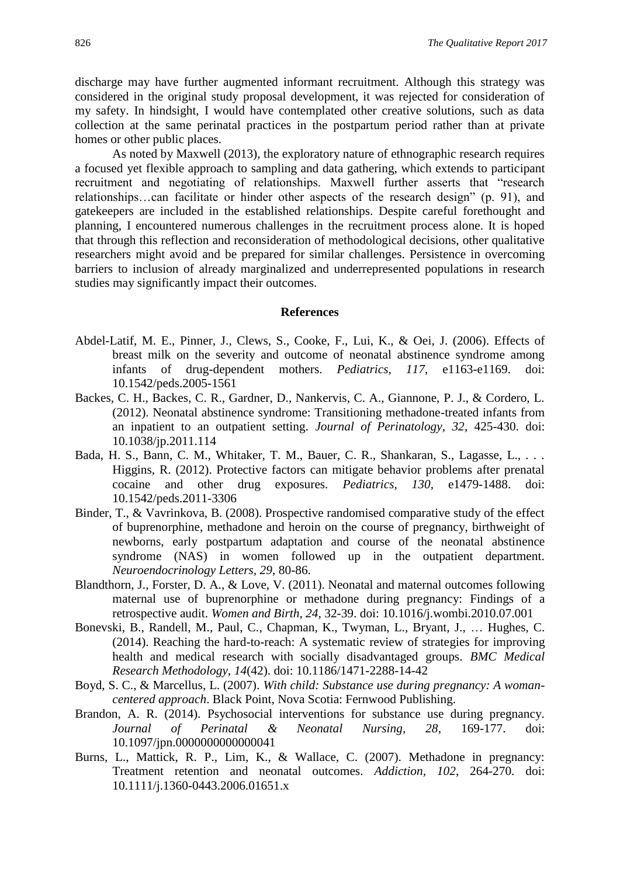discharge may have further augmented informant recruitment. Although this strategy was considered in the original study proposal development, it was rejected for consideration of my safety. In hindsight, I would have contemplated other creative solutions, such as data collection at the same perinatal practices in the postpartum period rather than at private homes or other public places.

As noted by Maxwell (2013), the exploratory nature of ethnographic research requires a focused yet flexible approach to sampling and data gathering, which extends to participant recruitment and negotiating of relationships. Maxwell further asserts that "research relationships…can facilitate or hinder other aspects of the research design" (p. 91), and gatekeepers are included in the established relationships. Despite careful forethought and planning, I encountered numerous challenges in the recruitment process alone. It is hoped that through this reflection and reconsideration of methodological decisions, other qualitative researchers might avoid and be prepared for similar challenges. Persistence in overcoming barriers to inclusion of already marginalized and underrepresented populations in research studies may significantly impact their outcomes.

#### **References**

- <span id="page-10-0"></span>Abdel-Latif, M. E., Pinner, J., Clews, S., Cooke, F., Lui, K., & Oei, J. (2006). Effects of breast milk on the severity and outcome of neonatal abstinence syndrome among infants of drug-dependent mothers. *Pediatrics, 117*, e1163-e1169. doi: 10.1542/peds.2005-1561
- Backes, C. H., Backes, C. R., Gardner, D., Nankervis, C. A., Giannone, P. J., & Cordero, L. (2012). Neonatal abstinence syndrome: Transitioning methadone-treated infants from an inpatient to an outpatient setting. *Journal of Perinatology, 32*, 425-430. doi: 10.1038/jp.2011.114
- Bada, H. S., Bann, C. M., Whitaker, T. M., Bauer, C. R., Shankaran, S., Lagasse, L., . . . Higgins, R. (2012). Protective factors can mitigate behavior problems after prenatal cocaine and other drug exposures. *Pediatrics, 130*, e1479-1488. doi: 10.1542/peds.2011-3306
- Binder, T., & Vavrinkova, B. (2008). Prospective randomised comparative study of the effect of buprenorphine, methadone and heroin on the course of pregnancy, birthweight of newborns, early postpartum adaptation and course of the neonatal abstinence syndrome (NAS) in women followed up in the outpatient department. *Neuroendocrinology Letters, 29*, 80-86.
- Blandthorn, J., Forster, D. A., & Love, V. (2011). Neonatal and maternal outcomes following maternal use of buprenorphine or methadone during pregnancy: Findings of a retrospective audit. *Women and Birth, 24*, 32-39. doi: 10.1016/j.wombi.2010.07.001
- Bonevski, B., Randell, M., Paul, C., Chapman, K., Twyman, L., Bryant, J., … Hughes, C. (2014). Reaching the hard-to-reach: A systematic review of strategies for improving health and medical research with socially disadvantaged groups. *BMC Medical Research Methodology, 14*(42). doi: 10.1186/1471-2288-14-42
- <span id="page-10-2"></span>Boyd, S. C., & Marcellus, L. (2007). *With child: Substance use during pregnancy: A womancentered approach*. Black Point, Nova Scotia: Fernwood Publishing.
- Brandon, A. R. (2014). Psychosocial interventions for substance use during pregnancy. *Journal of Perinatal & Neonatal Nursing, 28*, 169-177. doi: 10.1097/jpn.0000000000000041
- <span id="page-10-1"></span>Burns, L., Mattick, R. P., Lim, K., & Wallace, C. (2007). Methadone in pregnancy: Treatment retention and neonatal outcomes. *Addiction, 102*, 264-270. doi: 10.1111/j.1360-0443.2006.01651.x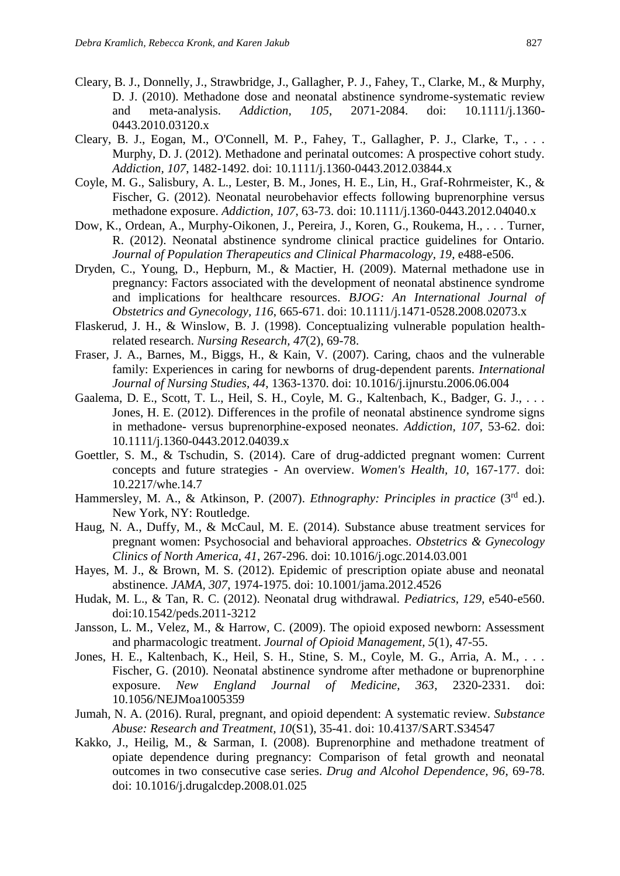- Cleary, B. J., Donnelly, J., Strawbridge, J., Gallagher, P. J., Fahey, T., Clarke, M., & Murphy, D. J. (2010). Methadone dose and neonatal abstinence syndrome-systematic review and meta-analysis. *Addiction, 105*, 2071-2084. doi: 10.1111/j.1360- 0443.2010.03120.x
- <span id="page-11-5"></span>Cleary, B. J., Eogan, M., O'Connell, M. P., Fahey, T., Gallagher, P. J., Clarke, T., . . . Murphy, D. J. (2012). Methadone and perinatal outcomes: A prospective cohort study. *Addiction, 107*, 1482-1492. doi: 10.1111/j.1360-0443.2012.03844.x
- <span id="page-11-6"></span>Coyle, M. G., Salisbury, A. L., Lester, B. M., Jones, H. E., Lin, H., Graf-Rohrmeister, K., & Fischer, G. (2012). Neonatal neurobehavior effects following buprenorphine versus methadone exposure. *Addiction, 107*, 63-73. doi: 10.1111/j.1360-0443.2012.04040.x
- Dow, K., Ordean, A., Murphy-Oikonen, J., Pereira, J., Koren, G., Roukema, H., . . . Turner, R. (2012). Neonatal abstinence syndrome clinical practice guidelines for Ontario. *Journal of Population Therapeutics and Clinical Pharmacology, 19*, e488-e506.
- <span id="page-11-4"></span>Dryden, C., Young, D., Hepburn, M., & Mactier, H. (2009). Maternal methadone use in pregnancy: Factors associated with the development of neonatal abstinence syndrome and implications for healthcare resources. *BJOG: An International Journal of Obstetrics and Gynecology, 116*, 665-671. doi: 10.1111/j.1471-0528.2008.02073.x
- Flaskerud, J. H., & Winslow, B. J. (1998). Conceptualizing vulnerable population healthrelated research. *Nursing Research, 47*(2), 69-78.
- Fraser, J. A., Barnes, M., Biggs, H., & Kain, V. (2007). Caring, chaos and the vulnerable family: Experiences in caring for newborns of drug-dependent parents. *International Journal of Nursing Studies, 44*, 1363-1370. doi: 10.1016/j.ijnurstu.2006.06.004
- <span id="page-11-1"></span>Gaalema, D. E., Scott, T. L., Heil, S. H., Coyle, M. G., Kaltenbach, K., Badger, G. J., . . . Jones, H. E. (2012). Differences in the profile of neonatal abstinence syndrome signs in methadone- versus buprenorphine-exposed neonates. *Addiction, 107*, 53-62. doi: 10.1111/j.1360-0443.2012.04039.x
- Goettler, S. M., & Tschudin, S. (2014). Care of drug-addicted pregnant women: Current concepts and future strategies - An overview. *Women's Health, 10*, 167-177. doi: 10.2217/whe.14.7
- Hammersley, M. A., & Atkinson, P. (2007). *Ethnography: Principles in practice* (3rd ed.). New York, NY: Routledge.
- <span id="page-11-0"></span>Haug, N. A., Duffy, M., & McCaul, M. E. (2014). Substance abuse treatment services for pregnant women: Psychosocial and behavioral approaches. *Obstetrics & Gynecology Clinics of North America, 41*, 267-296. doi: 10.1016/j.ogc.2014.03.001
- Hayes, M. J., & Brown, M. S. (2012). Epidemic of prescription opiate abuse and neonatal abstinence. *JAMA, 307*, 1974-1975. doi: 10.1001/jama.2012.4526
- <span id="page-11-2"></span>Hudak, M. L., & Tan, R. C. (2012). Neonatal drug withdrawal. *Pediatrics, 129*, e540-e560. doi:10.1542/peds.2011-3212
- <span id="page-11-3"></span>Jansson, L. M., Velez, M., & Harrow, C. (2009). The opioid exposed newborn: Assessment and pharmacologic treatment. *Journal of Opioid Management, 5*(1), 47-55.
- <span id="page-11-8"></span>Jones, H. E., Kaltenbach, K., Heil, S. H., Stine, S. M., Coyle, M. G., Arria, A. M., . . . Fischer, G. (2010). Neonatal abstinence syndrome after methadone or buprenorphine exposure. *New England Journal of Medicine, 363*, 2320-2331. doi: 10.1056/NEJMoa1005359
- Jumah, N. A. (2016). Rural, pregnant, and opioid dependent: A systematic review. *Substance Abuse: Research and Treatment, 10*(S1), 35-41. doi: 10.4137/SART.S34547
- <span id="page-11-7"></span>Kakko, J., Heilig, M., & Sarman, I. (2008). Buprenorphine and methadone treatment of opiate dependence during pregnancy: Comparison of fetal growth and neonatal outcomes in two consecutive case series. *Drug and Alcohol Dependence, 96*, 69-78. doi: 10.1016/j.drugalcdep.2008.01.025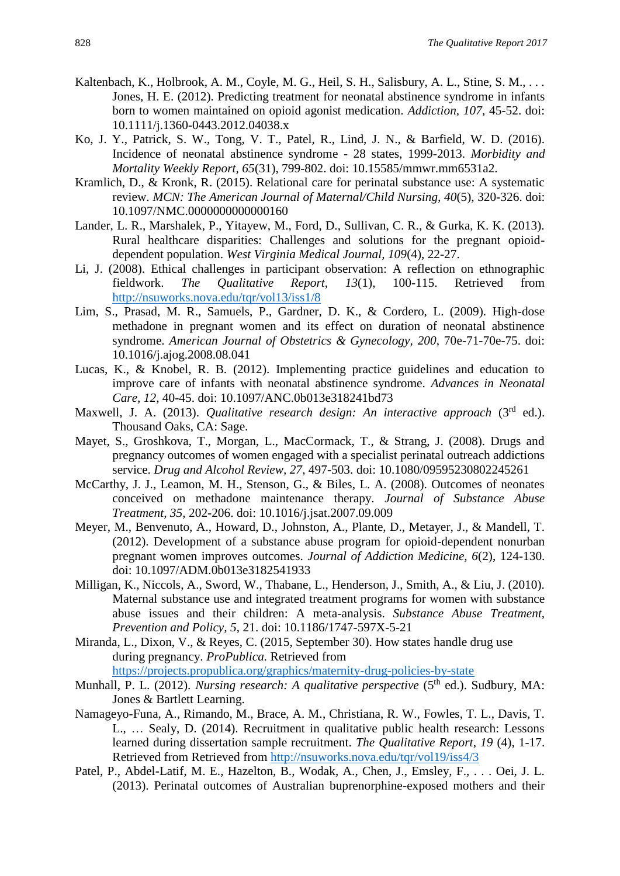- <span id="page-12-5"></span>Kaltenbach, K., Holbrook, A. M., Coyle, M. G., Heil, S. H., Salisbury, A. L., Stine, S. M., . . . Jones, H. E. (2012). Predicting treatment for neonatal abstinence syndrome in infants born to women maintained on opioid agonist medication. *Addiction, 107*, 45-52. doi: 10.1111/j.1360-0443.2012.04038.x
- Ko, J. Y., Patrick, S. W., Tong, V. T., Patel, R., Lind, J. N., & Barfield, W. D. (2016). Incidence of neonatal abstinence syndrome - 28 states, 1999-2013. *Morbidity and Mortality Weekly Report, 65*(31), 799-802. doi: 10.15585/mmwr.mm6531a2.
- Kramlich, D., & Kronk, R. (2015). Relational care for perinatal substance use: A systematic review. *MCN: The American Journal of Maternal/Child Nursing, 40*(5), 320-326. doi: 10.1097/NMC.0000000000000160
- Lander, L. R., Marshalek, P., Yitayew, M., Ford, D., Sullivan, C. R., & Gurka, K. K. (2013). Rural healthcare disparities: Challenges and solutions for the pregnant opioiddependent population. *West Virginia Medical Journal, 109*(4), 22-27.
- Li, J. (2008). Ethical challenges in participant observation: A reflection on ethnographic fieldwork. *The Qualitative Report*, *13*(1), 100-115. Retrieved from <http://nsuworks.nova.edu/tqr/vol13/iss1/8>
- <span id="page-12-2"></span>Lim, S., Prasad, M. R., Samuels, P., Gardner, D. K., & Cordero, L. (2009). High-dose methadone in pregnant women and its effect on duration of neonatal abstinence syndrome. *American Journal of Obstetrics & Gynecology, 200*, 70e-71-70e-75. doi: 10.1016/j.ajog.2008.08.041
- <span id="page-12-1"></span>Lucas, K., & Knobel, R. B. (2012). Implementing practice guidelines and education to improve care of infants with neonatal abstinence syndrome. *Advances in Neonatal Care, 12*, 40-45. doi: 10.1097/ANC.0b013e318241bd73
- <span id="page-12-0"></span>Maxwell, J. A. (2013). *Qualitative research design: An interactive approach* (3<sup>rd</sup> ed.). Thousand Oaks, CA: Sage.
- <span id="page-12-6"></span>Mayet, S., Groshkova, T., Morgan, L., MacCormack, T., & Strang, J. (2008). Drugs and pregnancy outcomes of women engaged with a specialist perinatal outreach addictions service. *Drug and Alcohol Review, 27*, 497-503. doi: 10.1080/09595230802245261
- <span id="page-12-3"></span>McCarthy, J. J., Leamon, M. H., Stenson, G., & Biles, L. A. (2008). Outcomes of neonates conceived on methadone maintenance therapy. *Journal of Substance Abuse Treatment, 35*, 202-206. doi: 10.1016/j.jsat.2007.09.009
- <span id="page-12-7"></span>Meyer, M., Benvenuto, A., Howard, D., Johnston, A., Plante, D., Metayer, J., & Mandell, T. (2012). Development of a substance abuse program for opioid-dependent nonurban pregnant women improves outcomes. *Journal of Addiction Medicine, 6*(2), 124-130. doi: 10.1097/ADM.0b013e3182541933
- Milligan, K., Niccols, A., Sword, W., Thabane, L., Henderson, J., Smith, A., & Liu, J. (2010). Maternal substance use and integrated treatment programs for women with substance abuse issues and their children: A meta-analysis. *Substance Abuse Treatment, Prevention and Policy, 5*, 21. doi: 10.1186/1747-597X-5-21
- Miranda, L., Dixon, V., & Reyes, C. (2015, September 30). How states handle drug use during pregnancy. *ProPublica.* Retrieved from

<https://projects.propublica.org/graphics/maternity-drug-policies-by-state>

- Munhall, P. L. (2012). *Nursing research: A qualitative perspective* (5<sup>th</sup> ed.). Sudbury, MA: Jones & Bartlett Learning.
- Namageyo-Funa, A., Rimando, M., Brace, A. M., Christiana, R. W., Fowles, T. L., Davis, T. L., … Sealy, D. (2014). Recruitment in qualitative public health research: Lessons learned during dissertation sample recruitment. *The Qualitative Report*, *19* (4), 1-17. Retrieved from Retrieved from<http://nsuworks.nova.edu/tqr/vol19/iss4/3>
- <span id="page-12-4"></span>Patel, P., Abdel-Latif, M. E., Hazelton, B., Wodak, A., Chen, J., Emsley, F., . . . Oei, J. L. (2013). Perinatal outcomes of Australian buprenorphine-exposed mothers and their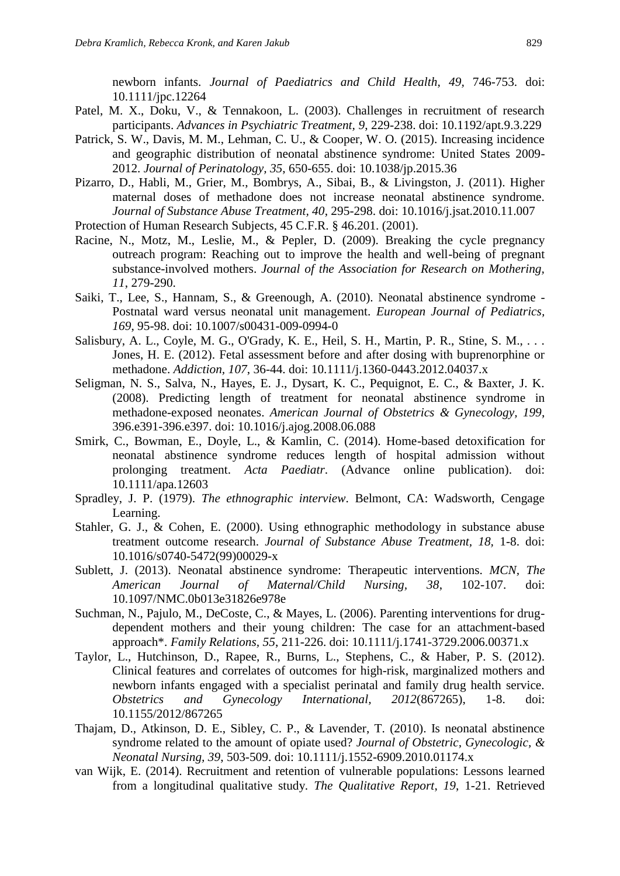newborn infants. *Journal of Paediatrics and Child Health*, *49,* 746-753. doi: 10.1111/jpc.12264

- Patel, M. X., Doku, V., & Tennakoon, L. (2003). Challenges in recruitment of research participants. *Advances in Psychiatric Treatment, 9*, 229-238. doi: 10.1192/apt.9.3.229
- <span id="page-13-1"></span>Patrick, S. W., Davis, M. M., Lehman, C. U., & Cooper, W. O. (2015). Increasing incidence and geographic distribution of neonatal abstinence syndrome: United States 2009- 2012. *Journal of Perinatology, 35*, 650-655. doi: 10.1038/jp.2015.36
- <span id="page-13-2"></span>Pizarro, D., Habli, M., Grier, M., Bombrys, A., Sibai, B., & Livingston, J. (2011). Higher maternal doses of methadone does not increase neonatal abstinence syndrome. *Journal of Substance Abuse Treatment, 40*, 295-298. doi: 10.1016/j.jsat.2010.11.007
- Protection of Human Research Subjects, 45 C.F.R. § 46.201. (2001).
- <span id="page-13-8"></span>Racine, N., Motz, M., Leslie, M., & Pepler, D. (2009). Breaking the cycle pregnancy outreach program: Reaching out to improve the health and well-being of pregnant substance-involved mothers. *Journal of the Association for Research on Mothering, 11*, 279-290.
- <span id="page-13-7"></span>Saiki, T., Lee, S., Hannam, S., & Greenough, A. (2010). Neonatal abstinence syndrome - Postnatal ward versus neonatal unit management. *European Journal of Pediatrics, 169*, 95-98. doi: 10.1007/s00431-009-0994-0
- <span id="page-13-4"></span>Salisbury, A. L., Coyle, M. G., O'Grady, K. E., Heil, S. H., Martin, P. R., Stine, S. M., ... Jones, H. E. (2012). Fetal assessment before and after dosing with buprenorphine or methadone. *Addiction, 107*, 36-44. doi: 10.1111/j.1360-0443.2012.04037.x
- <span id="page-13-3"></span>Seligman, N. S., Salva, N., Hayes, E. J., Dysart, K. C., Pequignot, E. C., & Baxter, J. K. (2008). Predicting length of treatment for neonatal abstinence syndrome in methadone-exposed neonates. *American Journal of Obstetrics & Gynecology, 199*, 396.e391-396.e397. doi: 10.1016/j.ajog.2008.06.088
- <span id="page-13-5"></span>Smirk, C., Bowman, E., Doyle, L., & Kamlin, C. (2014). Home-based detoxification for neonatal abstinence syndrome reduces length of hospital admission without prolonging treatment. *Acta Paediatr*. (Advance online publication). doi: 10.1111/apa.12603
- Spradley, J. P. (1979). *The ethnographic interview*. Belmont, CA: Wadsworth, Cengage Learning.
- Stahler, G. J., & Cohen, E. (2000). Using ethnographic methodology in substance abuse treatment outcome research. *Journal of Substance Abuse Treatment, 18,* 1-8. doi: 10.1016/s0740-5472(99)00029-x
- <span id="page-13-0"></span>Sublett, J. (2013). Neonatal abstinence syndrome: Therapeutic interventions. *MCN, The American Journal of Maternal/Child Nursing, 38*, 102-107. doi: 10.1097/NMC.0b013e31826e978e
- <span id="page-13-9"></span>Suchman, N., Pajulo, M., DeCoste, C., & Mayes, L. (2006). Parenting interventions for drugdependent mothers and their young children: The case for an attachment-based approach\*. *Family Relations, 55*, 211-226. doi: 10.1111/j.1741-3729.2006.00371.x
- <span id="page-13-10"></span>Taylor, L., Hutchinson, D., Rapee, R., Burns, L., Stephens, C., & Haber, P. S. (2012). Clinical features and correlates of outcomes for high-risk, marginalized mothers and newborn infants engaged with a specialist perinatal and family drug health service. *Obstetrics and Gynecology International, 2012*(867265), 1-8. doi: 10.1155/2012/867265
- <span id="page-13-6"></span>Thajam, D., Atkinson, D. E., Sibley, C. P., & Lavender, T. (2010). Is neonatal abstinence syndrome related to the amount of opiate used? *Journal of Obstetric, Gynecologic, & Neonatal Nursing, 39*, 503-509. doi: 10.1111/j.1552-6909.2010.01174.x
- van Wijk, E. (2014). Recruitment and retention of vulnerable populations: Lessons learned from a longitudinal qualitative study. *The Qualitative Report*, *19*, 1-21. Retrieved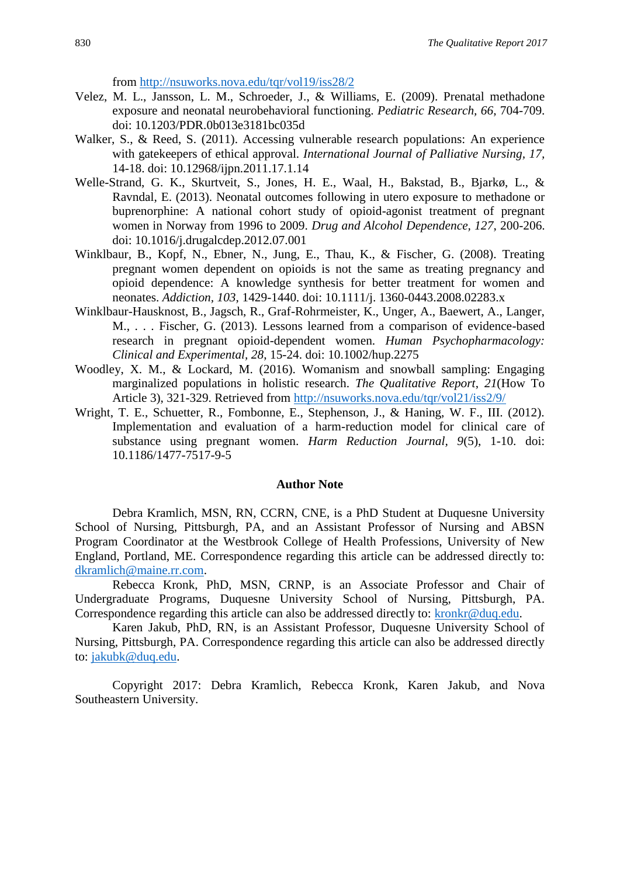from<http://nsuworks.nova.edu/tqr/vol19/iss28/2>

- <span id="page-14-0"></span>Velez, M. L., Jansson, L. M., Schroeder, J., & Williams, E. (2009). Prenatal methadone exposure and neonatal neurobehavioral functioning. *Pediatric Research, 66*, 704-709. doi: 10.1203/PDR.0b013e3181bc035d
- Walker, S., & Reed, S. (2011). Accessing vulnerable research populations: An experience with gatekeepers of ethical approval. *International Journal of Palliative Nursing, 17,*  14-18. doi: 10.12968/ijpn.2011.17.1.14
- <span id="page-14-1"></span>Welle-Strand, G. K., Skurtveit, S., Jones, H. E., Waal, H., Bakstad, B., Bjarkø, L., & Ravndal, E. (2013). Neonatal outcomes following in utero exposure to methadone or buprenorphine: A national cohort study of opioid-agonist treatment of pregnant women in Norway from 1996 to 2009. *Drug and Alcohol Dependence, 127*, 200-206. doi: 10.1016/j.drugalcdep.2012.07.001
- Winklbaur, B., Kopf, N., Ebner, N., Jung, E., Thau, K., & Fischer, G. (2008). Treating pregnant women dependent on opioids is not the same as treating pregnancy and opioid dependence: A knowledge synthesis for better treatment for women and neonates. *Addiction, 103*, 1429-1440. doi: 10.1111/j. 1360-0443.2008.02283.x
- Winklbaur-Hausknost, B., Jagsch, R., Graf-Rohrmeister, K., Unger, A., Baewert, A., Langer, M., . . . Fischer, G. (2013). Lessons learned from a comparison of evidence-based research in pregnant opioid-dependent women. *Human Psychopharmacology: Clinical and Experimental, 28*, 15-24. doi: 10.1002/hup.2275
- Woodley, X. M., & Lockard, M. (2016). Womanism and snowball sampling: Engaging marginalized populations in holistic research. *The Qualitative Report*, *21*(How To Article 3), 321-329. Retrieved from<http://nsuworks.nova.edu/tqr/vol21/iss2/9/>
- <span id="page-14-2"></span>Wright, T. E., Schuetter, R., Fombonne, E., Stephenson, J., & Haning, W. F., III. (2012). Implementation and evaluation of a harm-reduction model for clinical care of substance using pregnant women. *Harm Reduction Journal, 9*(5), 1-10. doi: 10.1186/1477-7517-9-5

#### **Author Note**

Debra Kramlich, MSN, RN, CCRN, CNE, is a PhD Student at Duquesne University School of Nursing, Pittsburgh, PA, and an Assistant Professor of Nursing and ABSN Program Coordinator at the Westbrook College of Health Professions, University of New England, Portland, ME. Correspondence regarding this article can be addressed directly to: [dkramlich@maine.rr.com.](mailto:dkramlich@maine.rr.com)

Rebecca Kronk, PhD, MSN, CRNP, is an Associate Professor and Chair of Undergraduate Programs, Duquesne University School of Nursing, Pittsburgh, PA. Correspondence regarding this article can also be addressed directly to: [kronkr@duq.edu.](mailto:kronkr@duq.edu)

Karen Jakub, PhD, RN, is an Assistant Professor, Duquesne University School of Nursing, Pittsburgh, PA. Correspondence regarding this article can also be addressed directly to: [jakubk@duq.edu.](mailto:jakubk@duq.edu)

Copyright 2017: Debra Kramlich, Rebecca Kronk, Karen Jakub, and Nova Southeastern University.